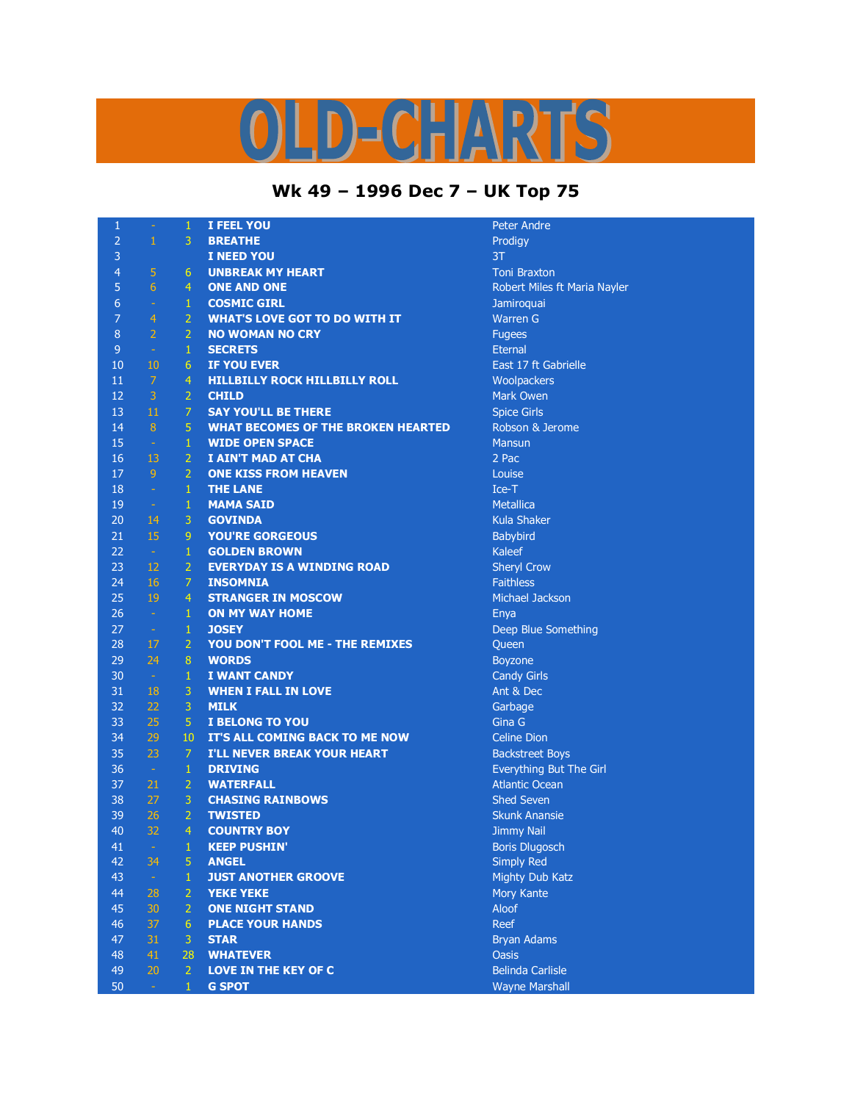## LD-CHARTS

## **Wk 49 – 1996 Dec 7 – UK Top 75**

Peter Andre

**Toni Braxton** 

**Jamiroquai Warren G** 

**Metallica Kula Shaker Babybird** 

**Sheryl Crow Faithless Michael Jackson** 

**Candy Girls** Ant & Dec

**Celine Dion Backstreet Boys** Everything But The Girl Atlantic Ocean **Shed Seven Skunk Anansie Jimmy Nail** Boris Dlugosch **Simply Red Mighty Dub Katz Mory Kante** 

**Bryan Adams** 

**Belinda Carlisle Wayne Marshall** 

Deep Blue Something

East 17 ft Gabrielle **Woolpackers Mark Owen Spice Girls** Robson & Jerome

**Robert Miles ft Maria Nayler** 

| $\mathbf{1}$   | $\equiv$       | $\mathbf{1}$     | I FEEL YOU                                | Peter An                        |
|----------------|----------------|------------------|-------------------------------------------|---------------------------------|
| $\overline{2}$ | $\,1\,$        | 3                | <b>BREATHE</b>                            | Prodigy                         |
| 3              |                |                  | <b>I NEED YOU</b>                         | 3T                              |
| $\overline{4}$ | 5              | $6 \overline{6}$ | <b>UNBREAK MY HEART</b>                   | <b>Toni Bra</b>                 |
| 5              | 6              | $\overline{4}$   | <b>ONE AND ONE</b>                        | Robert N                        |
| $\overline{6}$ | $\sim$         | $\mathbf{1}$     | <b>COSMIC GIRL</b>                        | Jamiroqu                        |
| $\overline{7}$ | $\overline{4}$ | $\overline{2}$   | <b>WHAT'S LOVE GOT TO DO WITH IT</b>      | Warren                          |
| $\bf 8$        | $\overline{2}$ | $\overline{2}$   | <b>NO WOMAN NO CRY</b>                    | <b>Fugees</b>                   |
| $\overline{9}$ | $\sim$         | $\mathbf{1}$     | <b>SECRETS</b>                            | Eternal                         |
| 10             | $10\,$         | 6                | <b>IF YOU EVER</b>                        | East 17 t                       |
| 11             | $\mathcal{I}$  | $\overline{4}$   | <b>HILLBILLY ROCK HILLBILLY ROLL</b>      | Woolpac                         |
| 12             | 3 <sup>1</sup> | $\overline{2}$   | <b>CHILD</b>                              | Mark Ow                         |
| 13             | 11             | $\overline{7}$   | <b>SAY YOU'LL BE THERE</b>                | <b>Spice Gir</b>                |
| 14             | 8 <sup>°</sup> | 5                | <b>WHAT BECOMES OF THE BROKEN HEARTED</b> | Robson                          |
| 15             | $\sim$         | $\mathbf{1}$     | <b>WIDE OPEN SPACE</b>                    | <b>Mansun</b>                   |
| 16             | 13             | $\overline{2}$   | I AIN'T MAD AT CHA                        | 2 Pac                           |
| 17             | 9 <sub>1</sub> | $\overline{2}$   | <b>ONE KISS FROM HEAVEN</b>               | Louise                          |
| 18             | $\sim$         | $\mathbf{1}$     | <b>THE LANE</b>                           | $Ice-T$                         |
| 19             | $\pm$ .        | $\mathbf{1}$     | <b>MAMA SAID</b>                          | Metallica                       |
| 20             | 14             | 3                | <b>GOVINDA</b>                            | Kula Sha                        |
| 21             | 15             | 9                | <b>YOU'RE GORGEOUS</b>                    | Babybird                        |
| 22             | $\sim$         | $\mathbf 1$      | <b>GOLDEN BROWN</b>                       | Kaleef                          |
| 23             | 12             | $\overline{2}$   | <b>EVERYDAY IS A WINDING ROAD</b>         | Sheryl C                        |
| 24             | 16             | $\overline{7}$   | <b>INSOMNIA</b>                           | <b>Faithless</b>                |
| 25             | 19             | $\overline{4}$   | <b>STRANGER IN MOSCOW</b>                 | Michael.                        |
| 26             | $\sim 10$      | $\mathbf{1}$     | <b>ON MY WAY HOME</b>                     | Enya                            |
| 27             | $\sim$         | $\mathbf{1}$     | <b>JOSEY</b>                              | Deep Blu                        |
| 28             | 17             | $\overline{2}$   | YOU DON'T FOOL ME - THE REMIXES           | Queen                           |
| 29             | 24             | $\overline{8}$   | <b>WORDS</b>                              | Boyzone                         |
| 30             | $\sim$         | $\,1\,$          | <b>I WANT CANDY</b>                       | Candy G                         |
| 31             | 18             | 3                | <b>WHEN I FALL IN LOVE</b>                | Ant & De                        |
| 32             | 22             | 3                | <b>MILK</b>                               | Garbage                         |
| 33             | 25             | $\overline{5}$   | <b>I BELONG TO YOU</b>                    | Gina G                          |
| 34             | 29             | 10               | IT'S ALL COMING BACK TO ME NOW            | Celine D                        |
| 35             | 23             | $\overline{7}$   | <b>I'LL NEVER BREAK YOUR HEART</b>        | <b>Backstre</b>                 |
| 36             | $\sim$ $-$     | $\mathbf 1$      | <b>DRIVING</b>                            | Everythi                        |
| 37             | 21             | $\overline{2}$   | <b>WATERFALL</b>                          | Atlantic                        |
| 38             | 27             | 3                | <b>CHASING RAINBOWS</b>                   | Shed Set                        |
| 39             | 26             | $\overline{2}$   | <b>TWISTED</b>                            | Skunk A                         |
| 40             | 32             | $\overline{4}$   | <b>COUNTRY BOY</b>                        | Jimmy N                         |
| 41             | $\sim$         | 1                | <b>KEEP PUSHIN'</b>                       | <b>Boris Dlu</b>                |
| 42             | 34             | 5                | <b>ANGEL</b>                              | <b>Simply R</b>                 |
| 43             | $\sim$         | $\mathbf 1$      | <b>JUST ANOTHER GROOVE</b>                | Mighty D                        |
| 44             | 28             | $\overline{2}$   | <b>YEKE YEKE</b>                          | Mory Ka                         |
| 45             | 30             | $\overline{2}$   | <b>ONE NIGHT STAND</b>                    | <b>Aloof</b>                    |
| 46             | 37             | 6                | <b>PLACE YOUR HANDS</b>                   | Reef                            |
| 47             | 31             | 3                | <b>STAR</b>                               |                                 |
| 48             | 41             | 28               | <b>WHATEVER</b>                           | <b>Bryan Ad</b><br><b>Oasis</b> |
| 49             |                |                  |                                           |                                 |
|                | 20             | $\overline{2}$   | <b>LOVE IN THE KEY OF C</b>               | Belinda <sup>(</sup>            |
| 50             | $\omega$ .     | $\mathbf{1}$     | <b>G SPOT</b>                             | Wayne M                         |